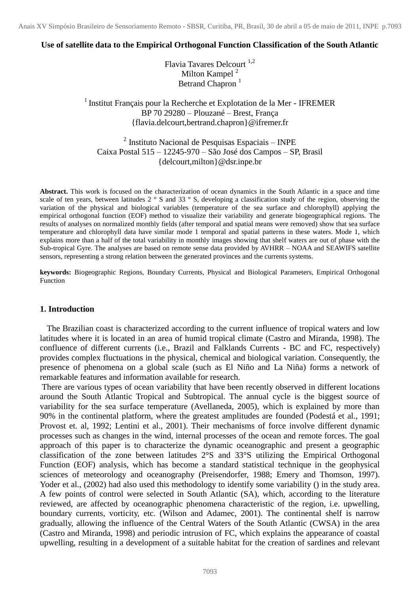Anais XV Simpósio Brasileiro de Sensoriamento Remoto - SBSR, Curitiba, PR, Brasil, 30 de abril a 05 de maio de 2011, INPE p.7093

### **Use of satellite data to the Empirical Orthogonal Function Classification of the South Atlantic**

Flavia Tavares Delcourt<sup>1,2</sup> Milton Kampel<sup>2</sup> Betrand Chapron<sup>1</sup>

<sup>1</sup> Institut Français pour la Recherche et Explotation de la Mer - IFREMER BP 70 29280 – Plouzané – Brest, França {flavia.delcourt,bertrand.chapron}@ifremer.fr

 $2$  Instituto Nacional de Pesquisas Espaciais – INPE Caixa Postal 515 – 12245-970 – São José dos Campos – SP, Brasil {delcourt,milton}@dsr.inpe.br

**Abstract.** This work is focused on the characterization of ocean dynamics in the South Atlantic in a space and time scale of ten years, between latitudes  $2^\circ$  S and  $33^\circ$  S, developing a classification study of the region, observing the variation of the physical and biological variables (temperature of the sea surface and chlorophyll) applying the empirical orthogonal function (EOF) method to visualize their variability and generate biogeographical regions. The results of analyses on normalized monthly fields (after temporal and spatial means were removed) show that sea surface temperature and chlorophyll data have similar mode 1 temporal and spatial patterns in these waters. Mode 1, which explains more than a half of the total variability in monthly images showing that shelf waters are out of phase with the Sub-tropical Gyre. The analyses are based on remote sense data provided by AVHRR – NOAA and SEAWIFS satellite sensors, representing a strong relation between the generated provinces and the currents systems.

**keywords:** Biogeographic Regions, Boundary Currents, Physical and Biological Parameters, Empirical Orthogonal Function

### **1. Introduction**

The Brazilian coast is characterized according to the current influence of tropical waters and low latitudes where it is located in an area of humid tropical climate (Castro and Miranda, 1998). The confluence of different currents (i.e., Brazil and Falklands Currents - BC and FC, respectively) provides complex fluctuations in the physical, chemical and biological variation. Consequently, the presence of phenomena on a global scale (such as El Niño and La Niña) forms a network of remarkable features and information available for research.

There are various types of ocean variability that have been recently observed in different locations around the South Atlantic Tropical and Subtropical. The annual cycle is the biggest source of variability for the sea surface temperature (Avellaneda, 2005), which is explained by more than 90% in the continental platform, where the greatest amplitudes are founded (Podestá et al., 1991; Provost et. al, 1992; Lentini et al., 2001). Their mechanisms of force involve different dynamic processes such as changes in the wind, internal processes of the ocean and remote forces. The goal approach of this paper is to characterize the dynamic oceanographic and present a geographic classification of the zone between latitudes 2°S and 33°S utilizing the Empirical Orthogonal Function (EOF) analysis, which has become a standard statistical technique in the geophysical sciences of meteorology and oceanography (Preisendorfer, 1988; Emery and Thomson, 1997). Yoder et al., (2002) had also used this methodology to identify some variability () in the study area. A few points of control were selected in South Atlantic (SA), which, according to the literature reviewed, are affected by oceanographic phenomena characteristic of the region, i.e. upwelling, boundary currents, vorticity, etc. (Wilson and Adamec, 2001). The continental shelf is narrow gradually, allowing the influence of the Central Waters of the South Atlantic (CWSA) in the area (Castro and Miranda, 1998) and periodic intrusion of FC, which explains the appearance of coastal upwelling, resulting in a development of a suitable habitat for the creation of sardines and relevant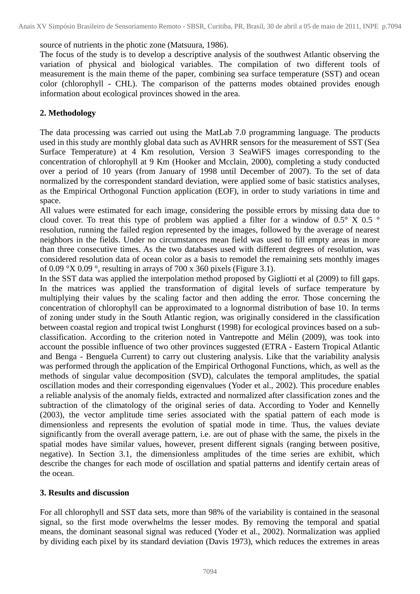source of nutrients in the photic zone (Matsuura, 1986).

The focus of the study is to develop a descriptive analysis of the southwest Atlantic observing the variation of physical and biological variables. The compilation of two different tools of measurement is the main theme of the paper, combining sea surface temperature (SST) and ocean color (chlorophyll - CHL). The comparison of the patterns modes obtained provides enough information about ecological provinces showed in the area.

## **2. Methodology**

The data processing was carried out using the MatLab 7.0 programming language. The products used in this study are monthly global data such as AVHRR sensors for the measurement of SST (Sea Surface Temperature) at 4 Km resolution, Version 3 SeaWiFS images corresponding to the concentration of chlorophyll at 9 Km (Hooker and Mcclain, 2000), completing a study conducted over a period of 10 years (from January of 1998 until December of 2007). To the set of data normalized by the correspondent standard deviation, were applied some of basic statistics analyses, as the Empirical Orthogonal Function application (EOF), in order to study variations in time and space.

All values were estimated for each image, considering the possible errors by missing data due to cloud cover. To treat this type of problem was applied a filter for a window of  $0.5^{\circ}$  X  $0.5^{\circ}$ resolution, running the failed region represented by the images, followed by the average of nearest neighbors in the fields. Under no circumstances mean field was used to fill empty areas in more than three consecutive times. As the two databases used with different degrees of resolution, was considered resolution data of ocean color as a basis to remodel the remaining sets monthly images of 0.09 °X 0.09 °, resulting in arrays of 700 x 360 pixels (Figure 3.1).

In the SST data was applied the interpolation method proposed by Gigliotti et al (2009) to fill gaps. In the matrices was applied the transformation of digital levels of surface temperature by multiplying their values by the scaling factor and then adding the error. Those concerning the concentration of chlorophyll can be approximated to a lognormal distribution of base 10. In terms of zoning under study in the South Atlantic region, was originally considered in the classification between coastal region and tropical twist Longhurst (1998) for ecological provinces based on a subclassification. According to the criterion noted in Vantrepotte and Mélin (2009), was took into account the possible influence of two other provinces suggested (ETRA - Eastern Tropical Atlantic and Benga - Benguela Current) to carry out clustering analysis. Like that the variability analysis was performed through the application of the Empirical Orthogonal Functions, which, as well as the methods of singular value decomposition (SVD), calculates the temporal amplitudes, the spatial oscillation modes and their corresponding eigenvalues (Yoder et al., 2002). This procedure enables a reliable analysis of the anomaly fields, extracted and normalized after classification zones and the subtraction of the climatology of the original series of data. According to Yoder and Kennelly (2003), the vector amplitude time series associated with the spatial pattern of each mode is dimensionless and represents the evolution of spatial mode in time. Thus, the values deviate significantly from the overall average pattern, i.e. are out of phase with the same, the pixels in the spatial modes have similar values, however, present different signals (ranging between positive, negative). In Section 3.1, the dimensionless amplitudes of the time series are exhibit, which describe the changes for each mode of oscillation and spatial patterns and identify certain areas of the ocean.

## **3. Results and discussion**

For all chlorophyll and SST data sets, more than 98% of the variability is contained in the seasonal signal, so the first mode overwhelms the lesser modes. By removing the temporal and spatial means, the dominant seasonal signal was reduced (Yoder et al., 2002). Normalization was applied by dividing each pixel by its standard deviation (Davis 1973), which reduces the extremes in areas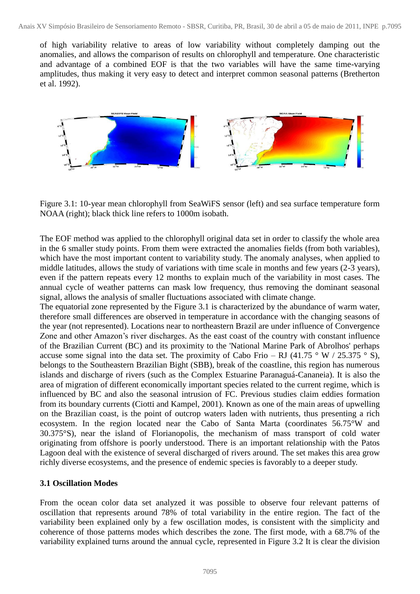of high variability relative to areas of low variability without completely damping out the anomalies, and allows the comparison of results on chlorophyll and temperature. One characteristic and advantage of a combined EOF is that the two variables will have the same time-varying amplitudes, thus making it very easy to detect and interpret common seasonal patterns (Bretherton et al. 1992).



Figure 3.1: 10-year mean chlorophyll from SeaWiFS sensor (left) and sea surface temperature form NOAA (right); black thick line refers to 1000m isobath.

The EOF method was applied to the chlorophyll original data set in order to classify the whole area in the 6 smaller study points. From them were extracted the anomalies fields (from both variables), which have the most important content to variability study. The anomaly analyses, when applied to middle latitudes, allows the study of variations with time scale in months and few years (2-3 years), even if the pattern repeats every 12 months to explain much of the variability in most cases. The annual cycle of weather patterns can mask low frequency, thus removing the dominant seasonal signal, allows the analysis of smaller fluctuations associated with climate change.

The equatorial zone represented by the Figure 3.1 is characterized by the abundance of warm water, therefore small differences are observed in temperature in accordance with the changing seasons of the year (not represented). Locations near to northeastern Brazil are under influence of Convergence Zone and other Amazon's river discharges. As the east coast of the country with constant influence of the Brazilian Current (BC) and its proximity to the 'National Marine Park of Abrolhos' perhaps accuse some signal into the data set. The proximity of Cabo Frio – RJ (41.75  $\degree$  W / 25.375  $\degree$  S), belongs to the Southeastern Brazilian Bight (SBB), break of the coastline, this region has numerous islands and discharge of rivers (such as the Complex Estuarine Paranaguá-Cananeia). It is also the area of migration of different economically important species related to the current regime, which is influenced by BC and also the seasonal intrusion of FC. Previous studies claim eddies formation from its boundary currents (Ciotti and Kampel, 2001). Known as one of the main areas of upwelling on the Brazilian coast, is the point of outcrop waters laden with nutrients, thus presenting a rich ecosystem. In the region located near the Cabo of Santa Marta (coordinates 56.75°W and 30.375°S), near the island of Florianopolis, the mechanism of mass transport of cold water originating from offshore is poorly understood. There is an important relationship with the Patos Lagoon deal with the existence of several discharged of rivers around. The set makes this area grow richly diverse ecosystems, and the presence of endemic species is favorably to a deeper study.

# **3.1 Oscillation Modes**

From the ocean color data set analyzed it was possible to observe four relevant patterns of oscillation that represents around 78% of total variability in the entire region. The fact of the variability been explained only by a few oscillation modes, is consistent with the simplicity and coherence of those patterns modes which describes the zone. The first mode, with a 68.7% of the variability explained turns around the annual cycle, represented in Figure 3.2 It is clear the division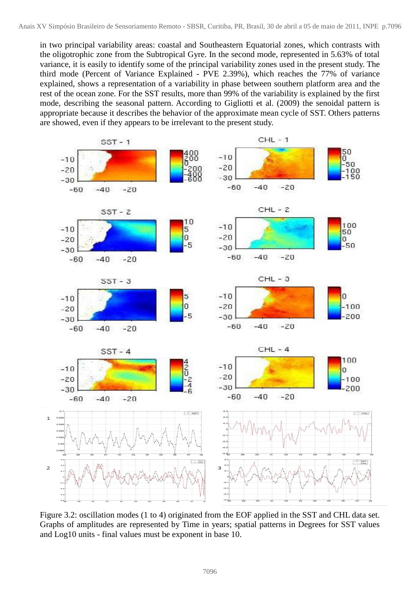in two principal variability areas: coastal and Southeastern Equatorial zones, which contrasts with the oligotrophic zone from the Subtropical Gyre. In the second mode, represented in 5.63% of total variance, it is easily to identify some of the principal variability zones used in the present study. The third mode (Percent of Variance Explained - PVE 2.39%), which reaches the 77% of variance explained, shows a representation of a variability in phase between southern platform area and the rest of the ocean zone. For the SST results, more than 99% of the variability is explained by the first mode, describing the seasonal pattern. According to Gigliotti et al. (2009) the senoidal pattern is appropriate because it describes the behavior of the approximate mean cycle of SST. Others patterns are showed, even if they appears to be irrelevant to the present study.



Figure 3.2: oscillation modes (1 to 4) originated from the EOF applied in the SST and CHL data set. Graphs of amplitudes are represented by Time in years; spatial patterns in Degrees for SST values and Log10 units - final values must be exponent in base 10.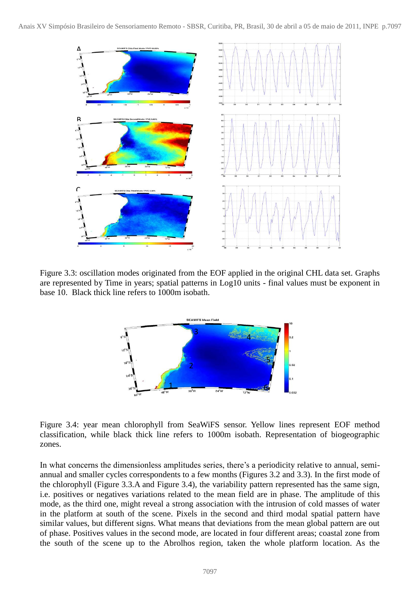

Figure 3.3: oscillation modes originated from the EOF applied in the original CHL data set. Graphs are represented by Time in years; spatial patterns in Log10 units - final values must be exponent in base 10. Black thick line refers to 1000m isobath.



Figure 3.4: year mean chlorophyll from SeaWiFS sensor. Yellow lines represent EOF method classification, while black thick line refers to 1000m isobath. Representation of biogeographic zones.

In what concerns the dimensionless amplitudes series, there's a periodicity relative to annual, semiannual and smaller cycles correspondents to a few months (Figures 3.2 and 3.3). In the first mode of the chlorophyll (Figure 3.3.A and Figure 3.4), the variability pattern represented has the same sign, i.e. positives or negatives variations related to the mean field are in phase. The amplitude of this mode, as the third one, might reveal a strong association with the intrusion of cold masses of water in the platform at south of the scene. Pixels in the second and third modal spatial pattern have similar values, but different signs. What means that deviations from the mean global pattern are out of phase. Positives values in the second mode, are located in four different areas; coastal zone from the south of the scene up to the Abrolhos region, taken the whole platform location. As the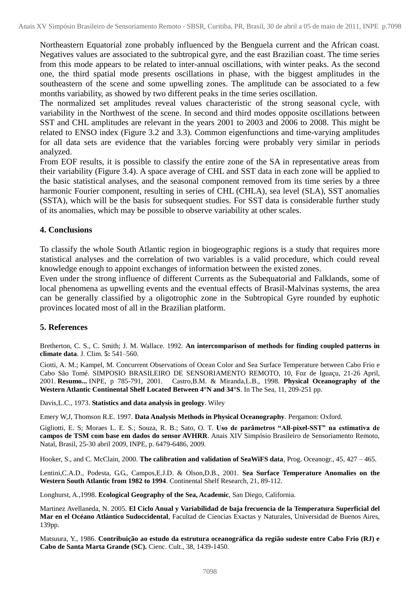Northeastern Equatorial zone probably influenced by the Benguela current and the African coast. Negatives values are associated to the subtropical gyre, and the east Brazilian coast. The time series from this mode appears to be related to inter-annual oscillations, with winter peaks. As the second one, the third spatial mode presents oscillations in phase, with the biggest amplitudes in the southeastern of the scene and some upwelling zones. The amplitude can be associated to a few months variability, as showed by two different peaks in the time series oscillation.

The normalized set amplitudes reveal values characteristic of the strong seasonal cycle, with variability in the Northwest of the scene. In second and third modes opposite oscillations between SST and CHL amplitudes are relevant in the years 2001 to 2003 and 2006 to 2008. This might be related to ENSO index (Figure 3.2 and 3.3). Common eigenfunctions and time-varying amplitudes for all data sets are evidence that the variables forcing were probably very similar in periods analyzed.

From EOF results, it is possible to classify the entire zone of the SA in representative areas from their variability (Figure 3.4). A space average of CHL and SST data in each zone will be applied to the basic statistical analyses, and the seasonal component removed from its time series by a three harmonic Fourier component, resulting in series of CHL (CHLA), sea level (SLA), SST anomalies (SSTA), which will be the basis for subsequent studies. For SST data is considerable further study of its anomalies, which may be possible to observe variability at other scales.

### **4. Conclusions**

To classify the whole South Atlantic region in biogeographic regions is a study that requires more statistical analyses and the correlation of two variables is a valid procedure, which could reveal knowledge enough to appoint exchanges of information between the existed zones.

Even under the strong influence of different Currents as the Subequatorial and Falklands, some of local phenomena as upwelling events and the eventual effects of Brasil-Malvinas systems, the area can be generally classified by a oligotrophic zone in the Subtropical Gyre rounded by euphotic provinces located most of all in the Brazilian platform.

### **5. References**

Bretherton, C. S., C. Smith; J. M. Wallace. 1992. **An intercomparison of methods for finding coupled patterns in climate data**. J. Clim. **5:** 541–560.

Ciotti, A. M.; Kampel, M. Concurrent Observations of Ocean Color and Sea Surface Temperature between Cabo Frio e Cabo São Tomé. SIMPOSIO BRASILEIRO DE SENSORIAMENTO REMOTO, 10, Foz de Iguaçu, 21-26 April, 2001. **Resumo...** INPE, p 785-791, 2001. Castro,B.M. & Miranda,L.B., 1998. **Physical Oceanography of the Western Atlantic Continental Shelf Located Between 4°N and 34°S**. In The Sea, 11, 209-251 pp.

Davis,L.C., 1973. **Statistics and data analysis in geology**. Wiley

Emery W,J, Thomson R.E. 1997. **Data Analysis Methods in Physical Oceanography**. Pergamon: Oxford.

Gigliotti, E. S; Moraes L. E. S.; Souza, R. B.; Sato, O. T. **Uso de parâmetros "All-pixel-SST" na estimativa de campos de TSM com base em dados do sensor AVHRR**. Anais XIV Simpósio Brasileiro de Sensoriamento Remoto, Natal, Brasil, 25-30 abril 2009, INPE, p. 6479-6486, 2009.

Hooker, S., and C. McClain, 2000. **The calibration and validation of SeaWiFS data**, Prog. Oceanogr., 45, 427 – 465.

Lentini,C.A.D., Podesta, G.G., Campos,E.J.D. & Olson,D.B., 2001. **Sea Surface Temperature Anomalies on the Western South Atlantic from 1982 to 1994**. Continental Shelf Research, 21, 89-112.

Longhurst, A.,1998. **Ecological Geography of the Sea, Academic**, San Diego, California.

Martinez Avellaneda, N. 2005. **El Ciclo Anual y Variabilidad de baja frecuencia de la Temperatura Superficial del Mar en el Océano Atlántico Sudoccidental**, Facultad de Ciencias Exactas y Naturales, Universidad de Buenos Aires, 139pp.

Matsuura, Y., 1986. **Contribuição ao estudo da estrutura oceanográfica da região sudeste entre Cabo Frio (RJ) e Cabo de Santa Marta Grande (SC).** Cienc. Cult., 38, 1439-1450.